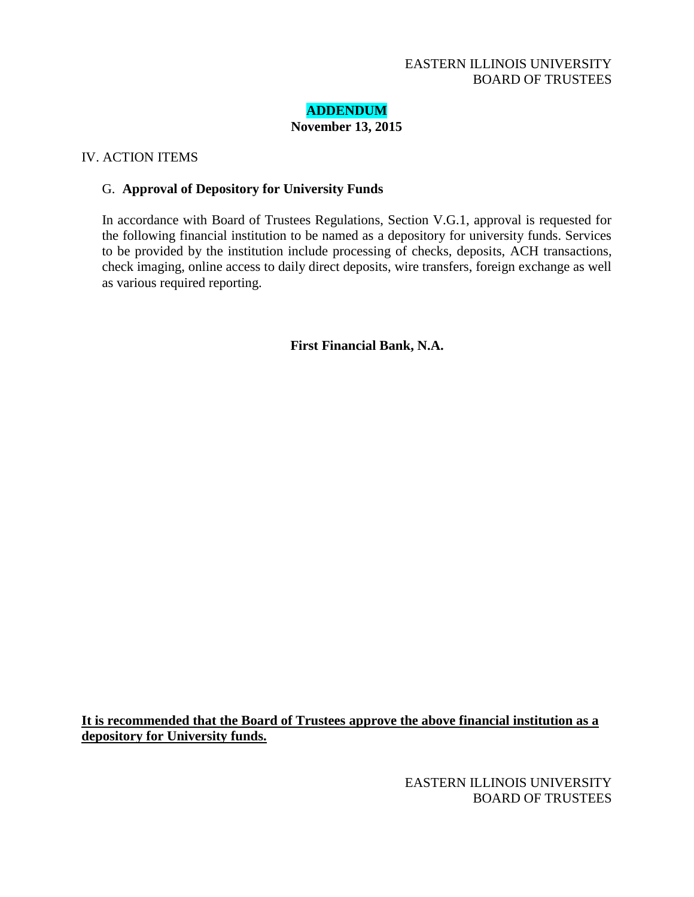## EASTERN ILLINOIS UNIVERSITY BOARD OF TRUSTEES

# **ADDENDUM**

**November 13, 2015**

## IV. ACTION ITEMS

### G. **Approval of Depository for University Funds**

In accordance with Board of Trustees Regulations, Section V.G.1, approval is requested for the following financial institution to be named as a depository for university funds. Services to be provided by the institution include processing of checks, deposits, ACH transactions, check imaging, online access to daily direct deposits, wire transfers, foreign exchange as well as various required reporting.

**First Financial Bank, N.A.**

**It is recommended that the Board of Trustees approve the above financial institution as a depository for University funds.**

> EASTERN ILLINOIS UNIVERSITY BOARD OF TRUSTEES